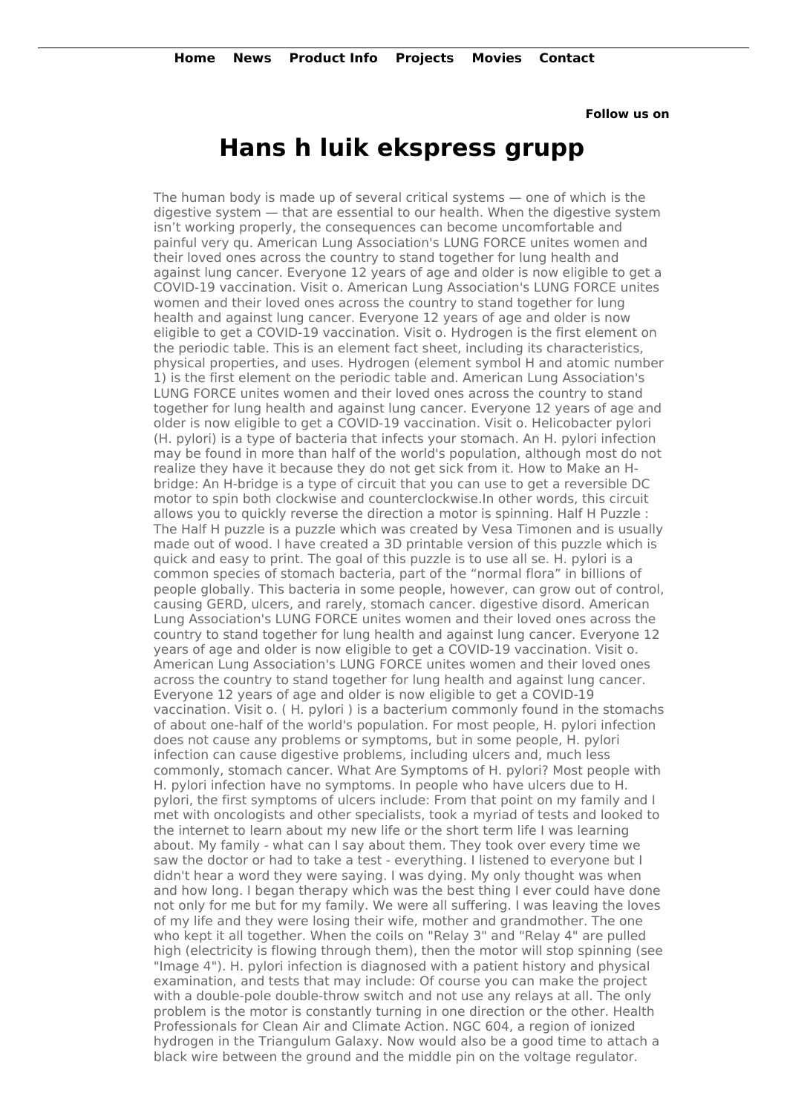**Follow us on**

## **Hans h luik ekspress grupp**

The human body is made up of several critical systems — one of which is the digestive system — that are essential to our health. When the digestive system isn't working properly, the consequences can become uncomfortable and painful very qu. American Lung Association's LUNG FORCE unites women and their loved ones across the country to stand together for lung health and against lung cancer. Everyone 12 years of age and older is now eligible to get a COVID-19 vaccination. Visit o. American Lung Association's LUNG FORCE unites women and their loved ones across the country to stand together for lung health and against lung cancer. Everyone 12 years of age and older is now eligible to get a COVID-19 vaccination. Visit o. Hydrogen is the first element on the periodic table. This is an element fact sheet, including its characteristics, physical properties, and uses. Hydrogen (element symbol H and atomic number 1) is the first element on the periodic table and. American Lung Association's LUNG FORCE unites women and their loved ones across the country to stand together for lung health and against lung cancer. Everyone 12 years of age and older is now eligible to get a COVID-19 vaccination. Visit o. Helicobacter pylori (H. pylori) is a type of bacteria that infects your stomach. An H. pylori infection may be found in more than half of the world's population, although most do not realize they have it because they do not get sick from it. How to Make an Hbridge: An H-bridge is a type of circuit that you can use to get a reversible DC motor to spin both clockwise and counterclockwise.In other words, this circuit allows you to quickly reverse the direction a motor is spinning. Half H Puzzle : The Half H puzzle is a puzzle which was created by Vesa Timonen and is usually made out of wood. I have created a 3D printable version of this puzzle which is quick and easy to print. The goal of this puzzle is to use all se. H. pylori is a common species of stomach bacteria, part of the "normal flora" in billions of people globally. This bacteria in some people, however, can grow out of control, causing GERD, ulcers, and rarely, stomach cancer. digestive disord. American Lung Association's LUNG FORCE unites women and their loved ones across the country to stand together for lung health and against lung cancer. Everyone 12 years of age and older is now eligible to get a COVID-19 vaccination. Visit o. American Lung Association's LUNG FORCE unites women and their loved ones across the country to stand together for lung health and against lung cancer. Everyone 12 years of age and older is now eligible to get a COVID-19 vaccination. Visit o. ( H. pylori ) is a bacterium commonly found in the stomachs of about one-half of the world's population. For most people, H. pylori infection does not cause any problems or symptoms, but in some people, H. pylori infection can cause digestive problems, including ulcers and, much less commonly, stomach cancer. What Are Symptoms of H. pylori? Most people with H. pylori infection have no symptoms. In people who have ulcers due to H. pylori, the first symptoms of ulcers include: From that point on my family and I met with oncologists and other specialists, took a myriad of tests and looked to the internet to learn about my new life or the short term life I was learning about. My family - what can I say about them. They took over every time we saw the doctor or had to take a test - everything. I listened to everyone but I didn't hear a word they were saying. I was dying. My only thought was when and how long. I began therapy which was the best thing I ever could have done not only for me but for my family. We were all suffering. I was leaving the loves of my life and they were losing their wife, mother and grandmother. The one who kept it all together. When the coils on "Relay 3" and "Relay 4" are pulled high (electricity is flowing through them), then the motor will stop spinning (see "Image 4"). H. pylori infection is diagnosed with a patient history and physical examination, and tests that may include: Of course you can make the project with a double-pole double-throw switch and not use any relays at all. The only problem is the motor is constantly turning in one direction or the other. Health Professionals for Clean Air and Climate Action. NGC 604, a region of ionized hydrogen in the Triangulum Galaxy. Now would also be a good time to attach a black wire between the ground and the middle pin on the voltage regulator.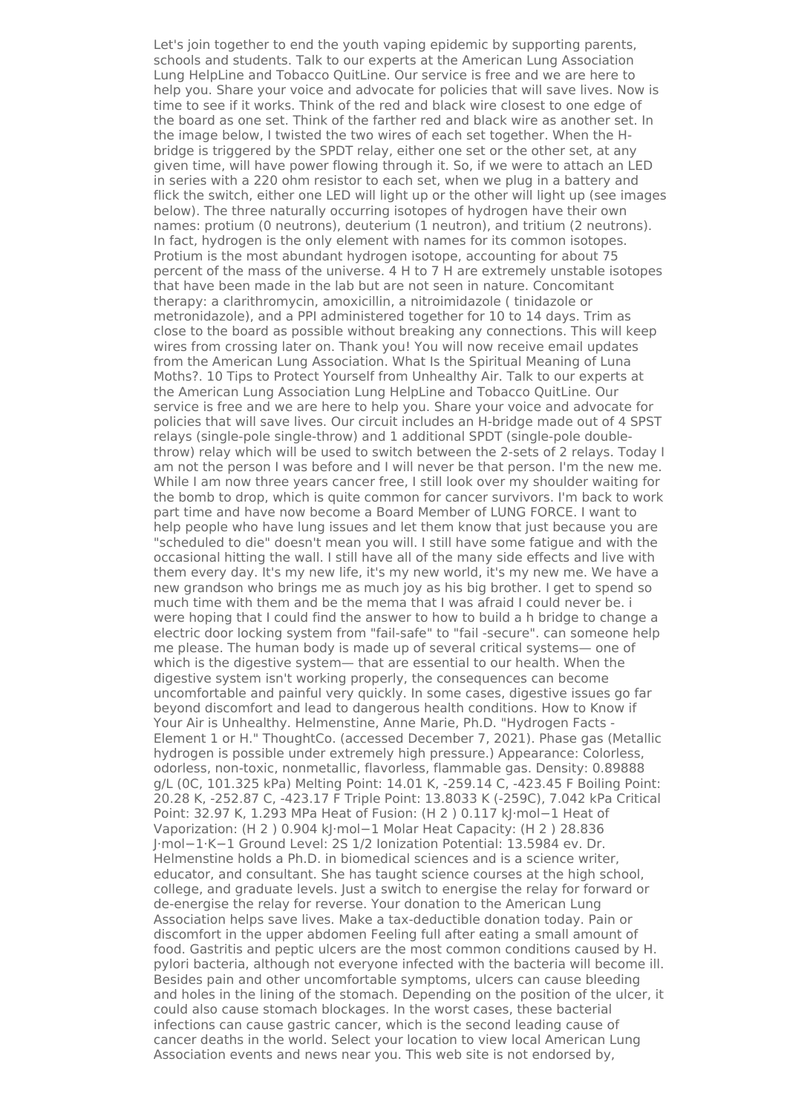Let's join together to end the youth vaping epidemic by supporting parents, schools and students. Talk to our experts at the American Lung Association Lung HelpLine and Tobacco QuitLine. Our service is free and we are here to help you. Share your voice and advocate for policies that will save lives. Now is time to see if it works. Think of the red and black wire closest to one edge of the board as one set. Think of the farther red and black wire as another set. In the image below, I twisted the two wires of each set together. When the Hbridge is triggered by the SPDT relay, either one set or the other set, at any given time, will have power flowing through it. So, if we were to attach an LED in series with a 220 ohm resistor to each set, when we plug in a battery and flick the switch, either one LED will light up or the other will light up (see images below). The three naturally occurring isotopes of hydrogen have their own names: protium (0 neutrons), deuterium (1 neutron), and tritium (2 neutrons). In fact, hydrogen is the only element with names for its common isotopes. Protium is the most abundant hydrogen isotope, accounting for about 75 percent of the mass of the universe. 4 H to 7 H are extremely unstable isotopes that have been made in the lab but are not seen in nature. Concomitant therapy: a clarithromycin, amoxicillin, a nitroimidazole ( tinidazole or metronidazole), and a PPI administered together for 10 to 14 days. Trim as close to the board as possible without breaking any connections. This will keep wires from crossing later on. Thank you! You will now receive email updates from the American Lung Association. What Is the Spiritual Meaning of Luna Moths?. 10 Tips to Protect Yourself from Unhealthy Air. Talk to our experts at the American Lung Association Lung HelpLine and Tobacco QuitLine. Our service is free and we are here to help you. Share your voice and advocate for policies that will save lives. Our circuit includes an H-bridge made out of 4 SPST relays (single-pole single-throw) and 1 additional SPDT (single-pole doublethrow) relay which will be used to switch between the 2-sets of 2 relays. Today I am not the person I was before and I will never be that person. I'm the new me. While I am now three years cancer free, I still look over my shoulder waiting for the bomb to drop, which is quite common for cancer survivors. I'm back to work part time and have now become a Board Member of LUNG FORCE. I want to help people who have lung issues and let them know that just because you are "scheduled to die" doesn't mean you will. I still have some fatigue and with the occasional hitting the wall. I still have all of the many side effects and live with them every day. It's my new life, it's my new world, it's my new me. We have a new grandson who brings me as much joy as his big brother. I get to spend so much time with them and be the mema that I was afraid I could never be. i were hoping that I could find the answer to how to build a h bridge to change a electric door locking system from "fail-safe" to "fail -secure". can someone help me please. The human body is made up of several critical systems— one of which is the digestive system— that are essential to our health. When the digestive system isn't working properly, the consequences can become uncomfortable and painful very quickly. In some cases, digestive issues go far beyond discomfort and lead to dangerous health conditions. How to Know if Your Air is Unhealthy. Helmenstine, Anne Marie, Ph.D. "Hydrogen Facts - Element 1 or H." ThoughtCo. (accessed December 7, 2021). Phase gas (Metallic hydrogen is possible under extremely high pressure.) Appearance: Colorless, odorless, non-toxic, nonmetallic, flavorless, flammable gas. Density: 0.89888 g/L (0C, 101.325 kPa) Melting Point: 14.01 K, -259.14 C, -423.45 F Boiling Point: 20.28 K, -252.87 C, -423.17 F Triple Point: 13.8033 K (-259C), 7.042 kPa Critical Point: 32.97 K, 1.293 MPa Heat of Fusion: (H 2 ) 0.117 kJ·mol−1 Heat of Vaporization: (H 2 ) 0.904 kJ·mol−1 Molar Heat Capacity: (H 2 ) 28.836 J·mol−1·K−1 Ground Level: 2S 1/2 Ionization Potential: 13.5984 ev. Dr. Helmenstine holds a Ph.D. in biomedical sciences and is a science writer, educator, and consultant. She has taught science courses at the high school, college, and graduate levels. Just a switch to energise the relay for forward or de-energise the relay for reverse. Your donation to the American Lung Association helps save lives. Make a tax-deductible donation today. Pain or discomfort in the upper abdomen Feeling full after eating a small amount of food. Gastritis and peptic ulcers are the most common conditions caused by H. pylori bacteria, although not everyone infected with the bacteria will become ill. Besides pain and other uncomfortable symptoms, ulcers can cause bleeding and holes in the lining of the stomach. Depending on the position of the ulcer, it could also cause stomach blockages. In the worst cases, these bacterial infections can cause gastric cancer, which is the second leading cause of cancer deaths in the world. Select your location to view local American Lung Association events and news near you. This web site is not endorsed by,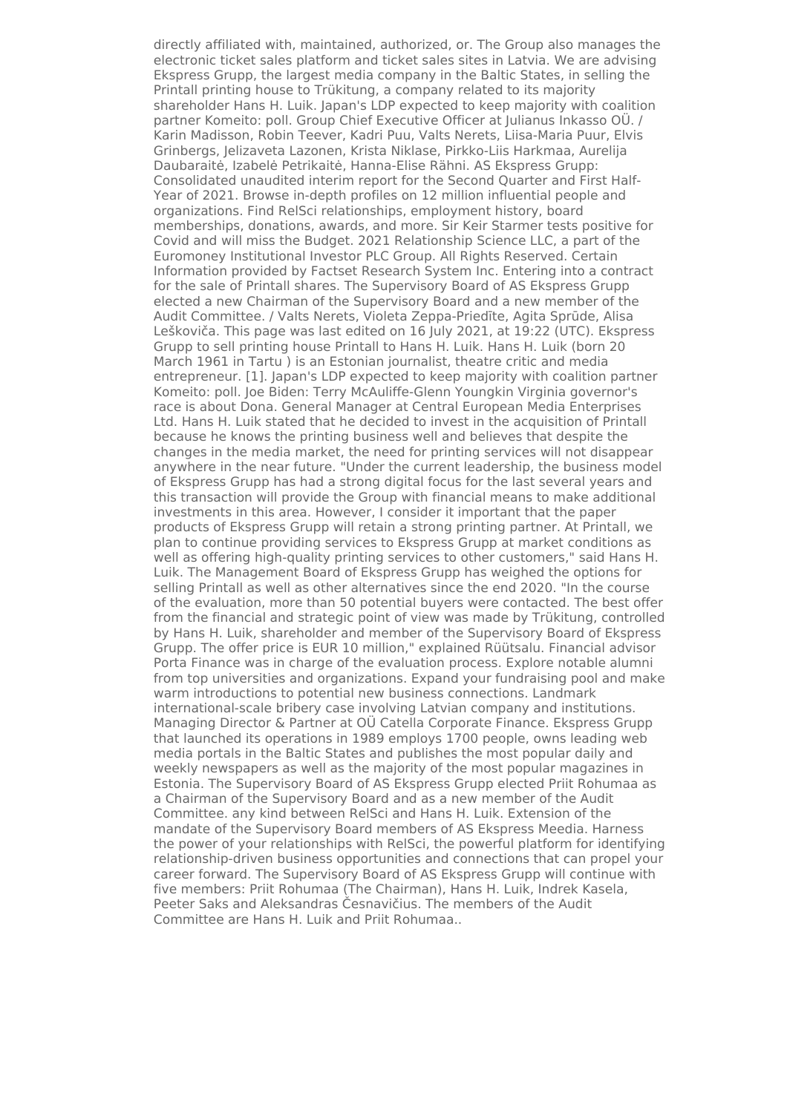directly affiliated with, maintained, authorized, or. The Group also manages the electronic ticket sales platform and ticket sales sites in Latvia. We are advising Ekspress Grupp, the largest media company in the Baltic States, in selling the Printall printing house to Trükitung, a company related to its majority shareholder Hans H. Luik. Japan's LDP expected to keep majority with coalition partner Komeito: poll. Group Chief Executive Officer at Julianus Inkasso OÜ. / Karin Madisson, Robin Teever, Kadri Puu, Valts Nerets, Liisa-Maria Puur, Elvis Grinbergs, Jelizaveta Lazonen, Krista Niklase, Pirkko-Liis Harkmaa, Aurelija Daubaraitė, Izabelė Petrikaitė, Hanna-Elise Rähni. AS Ekspress Grupp: Consolidated unaudited interim report for the Second Quarter and First Half-Year of 2021. Browse in-depth profiles on 12 million influential people and organizations. Find RelSci relationships, employment history, board memberships, donations, awards, and more. Sir Keir Starmer tests positive for Covid and will miss the Budget. 2021 Relationship Science LLC, a part of the Euromoney Institutional Investor PLC Group. All Rights Reserved. Certain Information provided by Factset Research System Inc. Entering into a contract for the sale of Printall shares. The Supervisory Board of AS Ekspress Grupp elected a new Chairman of the Supervisory Board and a new member of the Audit Committee. / Valts Nerets, Violeta Zeppa-Priedīte, Agita Sprūde, Alisa Leškoviča. This page was last edited on 16 July 2021, at 19:22 (UTC). Ekspress Grupp to sell printing house Printall to Hans H. Luik. Hans H. Luik (born 20 March 1961 in Tartu ) is an Estonian journalist, theatre critic and media entrepreneur. [1]. Japan's LDP expected to keep majority with coalition partner Komeito: poll. Joe Biden: Terry McAuliffe-Glenn Youngkin Virginia governor's race is about Dona. General Manager at Central European Media Enterprises Ltd. Hans H. Luik stated that he decided to invest in the acquisition of Printall because he knows the printing business well and believes that despite the changes in the media market, the need for printing services will not disappear anywhere in the near future. "Under the current leadership, the business model of Ekspress Grupp has had a strong digital focus for the last several years and this transaction will provide the Group with financial means to make additional investments in this area. However, I consider it important that the paper products of Ekspress Grupp will retain a strong printing partner. At Printall, we plan to continue providing services to Ekspress Grupp at market conditions as well as offering high-quality printing services to other customers," said Hans H. Luik. The Management Board of Ekspress Grupp has weighed the options for selling Printall as well as other alternatives since the end 2020. "In the course of the evaluation, more than 50 potential buyers were contacted. The best offer from the financial and strategic point of view was made by Trükitung, controlled by Hans H. Luik, shareholder and member of the Supervisory Board of Ekspress Grupp. The offer price is EUR 10 million," explained Rüütsalu. Financial advisor Porta Finance was in charge of the evaluation process. Explore notable alumni from top universities and organizations. Expand your fundraising pool and make warm introductions to potential new business connections. Landmark international-scale bribery case involving Latvian company and institutions. Managing Director & Partner at OÜ Catella Corporate Finance. Ekspress Grupp that launched its operations in 1989 employs 1700 people, owns leading web media portals in the Baltic States and publishes the most popular daily and weekly newspapers as well as the majority of the most popular magazines in Estonia. The Supervisory Board of AS Ekspress Grupp elected Priit Rohumaa as a Chairman of the Supervisory Board and as a new member of the Audit Committee. any kind between RelSci and Hans H. Luik. Extension of the mandate of the Supervisory Board members of AS Ekspress Meedia. Harness the power of your relationships with RelSci, the powerful platform for identifying relationship-driven business opportunities and connections that can propel your career forward. The Supervisory Board of AS Ekspress Grupp will continue with five members: Priit Rohumaa (The Chairman), Hans H. Luik, Indrek Kasela, Peeter Saks and Aleksandras Česnavičius. The members of the Audit Committee are Hans H. Luik and Priit Rohumaa..